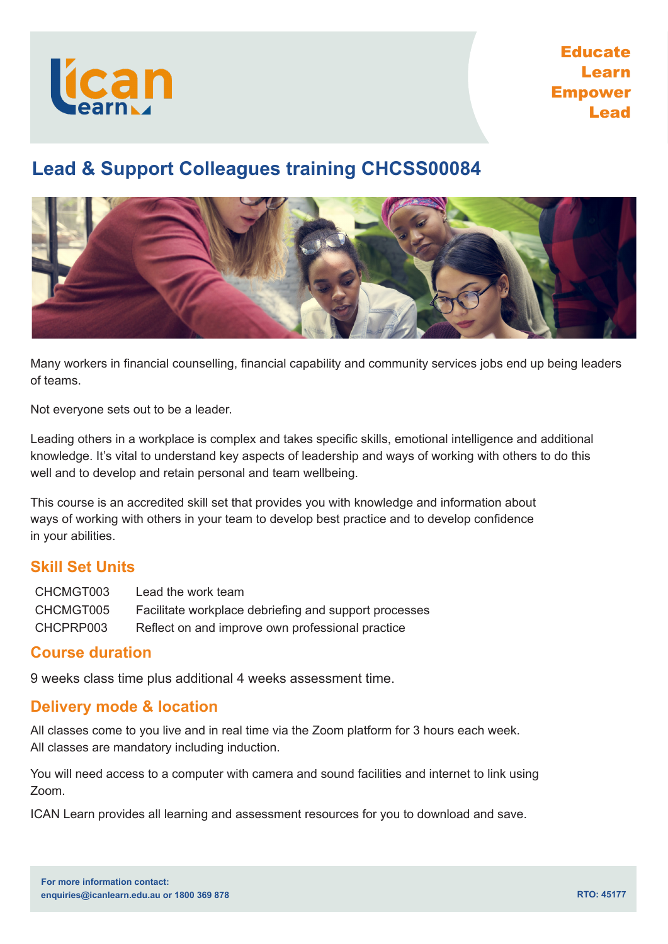

# **Educate** Learn Empower Lead

# **Lead & Support Colleagues training CHCSS00084**



Many workers in financial counselling, financial capability and community services jobs end up being leaders of teams.

Not everyone sets out to be a leader.

Leading others in a workplace is complex and takes specific skills, emotional intelligence and additional knowledge. It's vital to understand key aspects of leadership and ways of working with others to do this well and to develop and retain personal and team wellbeing.

This course is an accredited skill set that provides you with knowledge and information about ways of working with others in your team to develop best practice and to develop confidence in your abilities.

#### **Skill Set Units**

| CHCMGT003 | Lead the work team                                    |
|-----------|-------------------------------------------------------|
| CHCMGT005 | Facilitate workplace debriefing and support processes |
| CHCPRP003 | Reflect on and improve own professional practice      |

#### **Course duration**

9 weeks class time plus additional 4 weeks assessment time.

#### **Delivery mode & location**

All classes come to you live and in real time via the Zoom platform for 3 hours each week. All classes are mandatory including induction.

You will need access to a computer with camera and sound facilities and internet to link using Zoom.

ICAN Learn provides all learning and assessment resources for you to download and save.